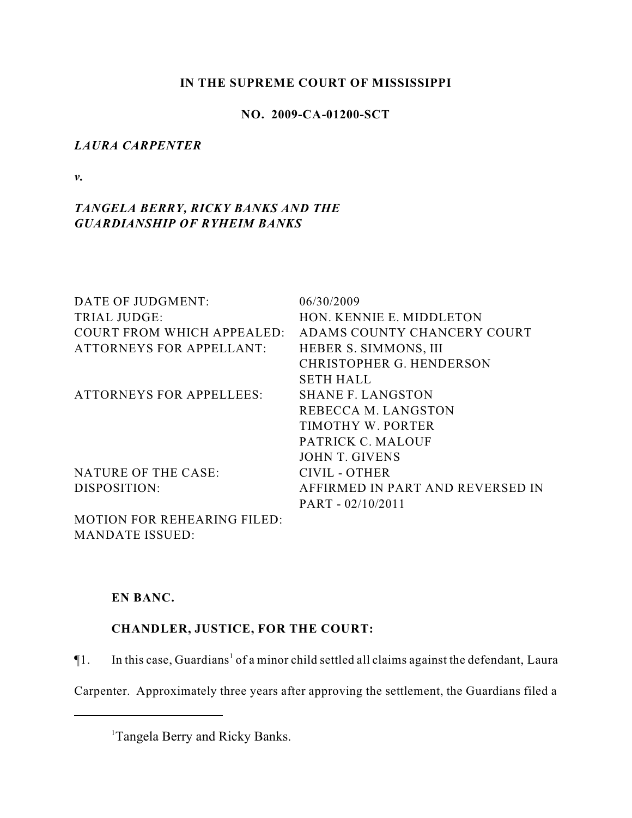### **IN THE SUPREME COURT OF MISSISSIPPI**

## **NO. 2009-CA-01200-SCT**

## *LAURA CARPENTER*

*v.*

# *TANGELA BERRY, RICKY BANKS AND THE GUARDIANSHIP OF RYHEIM BANKS*

| DATE OF JUDGMENT:                  | 06/30/2009                       |
|------------------------------------|----------------------------------|
| <b>TRIAL JUDGE:</b>                | HON. KENNIE E. MIDDLETON         |
| <b>COURT FROM WHICH APPEALED:</b>  | ADAMS COUNTY CHANCERY COURT      |
| <b>ATTORNEYS FOR APPELLANT:</b>    | HEBER S. SIMMONS, III            |
|                                    | <b>CHRISTOPHER G. HENDERSON</b>  |
|                                    | <b>SETH HALL</b>                 |
| <b>ATTORNEYS FOR APPELLEES:</b>    | <b>SHANE F. LANGSTON</b>         |
|                                    | REBECCA M. LANGSTON              |
|                                    | TIMOTHY W. PORTER                |
|                                    | PATRICK C. MALOUF                |
|                                    | <b>JOHN T. GIVENS</b>            |
| <b>NATURE OF THE CASE:</b>         | CIVIL - OTHER                    |
| DISPOSITION:                       | AFFIRMED IN PART AND REVERSED IN |
|                                    | $PART - 02/10/2011$              |
| <b>MOTION FOR REHEARING FILED:</b> |                                  |

MANDATE ISSUED:

# **EN BANC.**

# **CHANDLER, JUSTICE, FOR THE COURT:**

 $\P$ 1. In this case, Guardians<sup>1</sup> of a minor child settled all claims against the defendant, Laura

Carpenter. Approximately three years after approving the settlement, the Guardians filed a

<sup>&</sup>lt;sup>1</sup>Tangela Berry and Ricky Banks.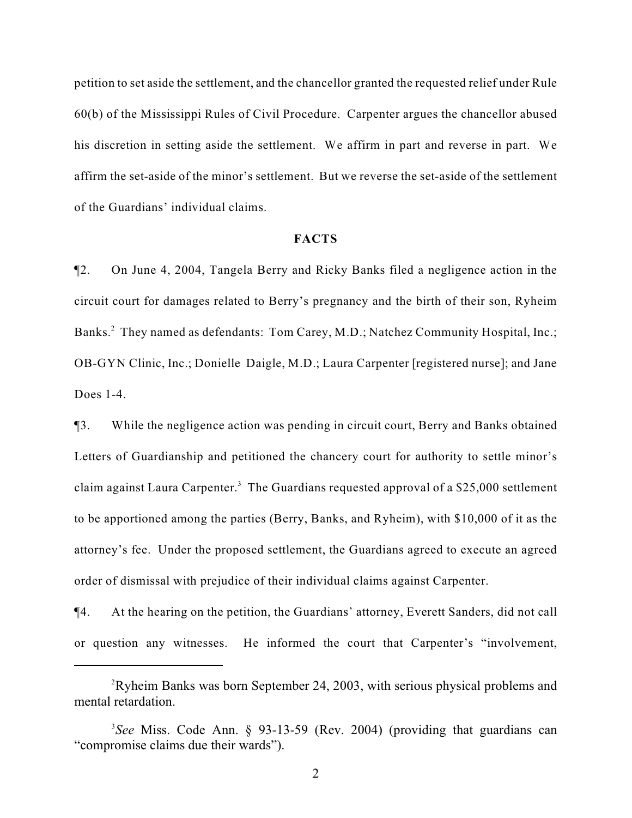petition to set aside the settlement, and the chancellor granted the requested relief under Rule 60(b) of the Mississippi Rules of Civil Procedure. Carpenter argues the chancellor abused his discretion in setting aside the settlement. We affirm in part and reverse in part. We affirm the set-aside of the minor's settlement. But we reverse the set-aside of the settlement of the Guardians' individual claims.

#### **FACTS**

¶2. On June 4, 2004, Tangela Berry and Ricky Banks filed a negligence action in the circuit court for damages related to Berry's pregnancy and the birth of their son, Ryheim Banks.<sup>2</sup> They named as defendants: Tom Carey, M.D.; Natchez Community Hospital, Inc.; OB-GYN Clinic, Inc.; Donielle Daigle, M.D.; Laura Carpenter [registered nurse]; and Jane Does 1-4.

¶3. While the negligence action was pending in circuit court, Berry and Banks obtained Letters of Guardianship and petitioned the chancery court for authority to settle minor's claim against Laura Carpenter.<sup>3</sup> The Guardians requested approval of a \$25,000 settlement to be apportioned among the parties (Berry, Banks, and Ryheim), with \$10,000 of it as the attorney's fee. Under the proposed settlement, the Guardians agreed to execute an agreed order of dismissal with prejudice of their individual claims against Carpenter.

¶4. At the hearing on the petition, the Guardians' attorney, Everett Sanders, did not call or question any witnesses. He informed the court that Carpenter's "involvement,

<sup>&</sup>lt;sup>2</sup>Ryheim Banks was born September 24, 2003, with serious physical problems and mental retardation.

*See* Miss. Code Ann. § 93-13-59 (Rev. 2004) (providing that guardians can 3 "compromise claims due their wards").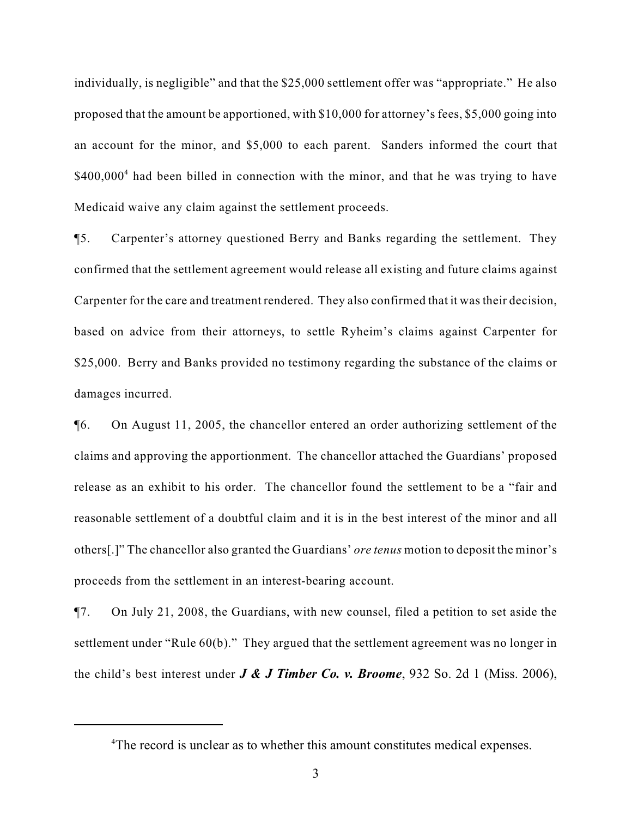individually, is negligible" and that the \$25,000 settlement offer was "appropriate." He also proposed that the amount be apportioned, with \$10,000 for attorney's fees, \$5,000 going into an account for the minor, and \$5,000 to each parent. Sanders informed the court that  $$400,000<sup>4</sup>$  had been billed in connection with the minor, and that he was trying to have Medicaid waive any claim against the settlement proceeds.

¶5. Carpenter's attorney questioned Berry and Banks regarding the settlement. They confirmed that the settlement agreement would release all existing and future claims against Carpenter for the care and treatment rendered. They also confirmed that it was their decision, based on advice from their attorneys, to settle Ryheim's claims against Carpenter for \$25,000. Berry and Banks provided no testimony regarding the substance of the claims or damages incurred.

¶6. On August 11, 2005, the chancellor entered an order authorizing settlement of the claims and approving the apportionment. The chancellor attached the Guardians' proposed release as an exhibit to his order. The chancellor found the settlement to be a "fair and reasonable settlement of a doubtful claim and it is in the best interest of the minor and all others[.]" The chancellor also granted the Guardians' *ore tenus* motion to deposit the minor's proceeds from the settlement in an interest-bearing account.

¶7. On July 21, 2008, the Guardians, with new counsel, filed a petition to set aside the settlement under "Rule 60(b)." They argued that the settlement agreement was no longer in the child's best interest under *J & J Timber Co. v. Broome*, 932 So. 2d 1 (Miss. 2006),

<sup>&</sup>lt;sup>4</sup>The record is unclear as to whether this amount constitutes medical expenses.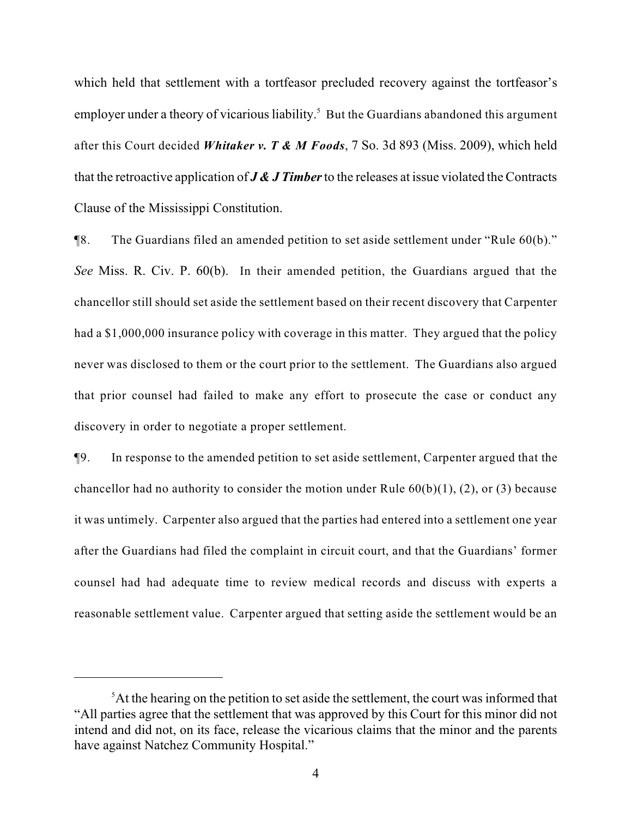which held that settlement with a tortfeasor precluded recovery against the tortfeasor's employer under a theory of vicarious liability.<sup>5</sup> But the Guardians abandoned this argument after this Court decided *Whitaker v. T & M Foods*, 7 So. 3d 893 (Miss. 2009), which held that the retroactive application of *J & J Timber* to the releases at issue violated the Contracts Clause of the Mississippi Constitution.

¶8. The Guardians filed an amended petition to set aside settlement under "Rule 60(b)." *See* Miss. R. Civ. P. 60(b). In their amended petition, the Guardians argued that the chancellor still should set aside the settlement based on their recent discovery that Carpenter had a \$1,000,000 insurance policy with coverage in this matter. They argued that the policy never was disclosed to them or the court prior to the settlement. The Guardians also argued that prior counsel had failed to make any effort to prosecute the case or conduct any discovery in order to negotiate a proper settlement.

¶9. In response to the amended petition to set aside settlement, Carpenter argued that the chancellor had no authority to consider the motion under Rule  $60(b)(1)$ , (2), or (3) because it was untimely. Carpenter also argued that the parties had entered into a settlement one year after the Guardians had filed the complaint in circuit court, and that the Guardians' former counsel had had adequate time to review medical records and discuss with experts a reasonable settlement value. Carpenter argued that setting aside the settlement would be an

 ${}^5$ At the hearing on the petition to set aside the settlement, the court was informed that "All parties agree that the settlement that was approved by this Court for this minor did not intend and did not, on its face, release the vicarious claims that the minor and the parents have against Natchez Community Hospital."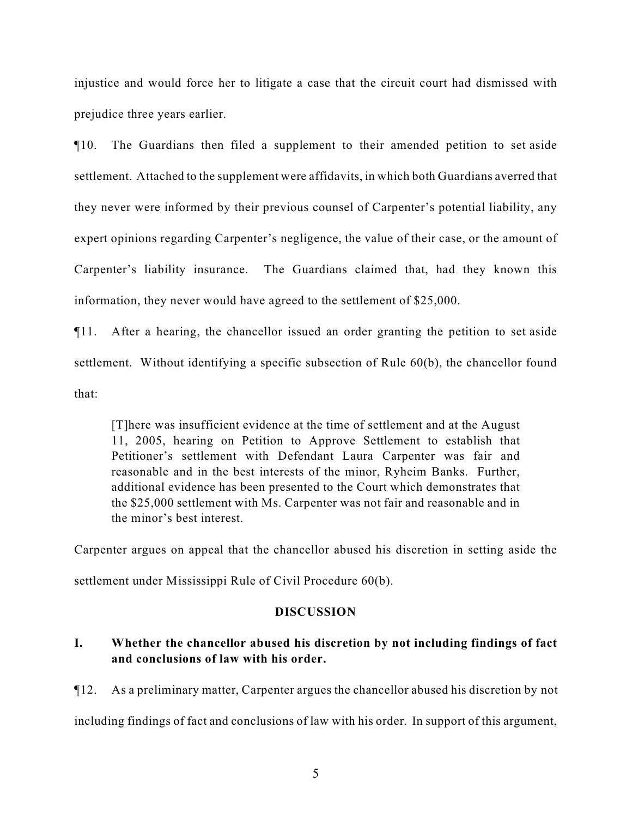injustice and would force her to litigate a case that the circuit court had dismissed with prejudice three years earlier.

¶10. The Guardians then filed a supplement to their amended petition to set aside settlement. Attached to the supplement were affidavits, in which both Guardians averred that they never were informed by their previous counsel of Carpenter's potential liability, any expert opinions regarding Carpenter's negligence, the value of their case, or the amount of Carpenter's liability insurance. The Guardians claimed that, had they known this information, they never would have agreed to the settlement of \$25,000.

¶11. After a hearing, the chancellor issued an order granting the petition to set aside settlement. Without identifying a specific subsection of Rule 60(b), the chancellor found that:

[T]here was insufficient evidence at the time of settlement and at the August 11, 2005, hearing on Petition to Approve Settlement to establish that Petitioner's settlement with Defendant Laura Carpenter was fair and reasonable and in the best interests of the minor, Ryheim Banks. Further, additional evidence has been presented to the Court which demonstrates that the \$25,000 settlement with Ms. Carpenter was not fair and reasonable and in the minor's best interest.

Carpenter argues on appeal that the chancellor abused his discretion in setting aside the settlement under Mississippi Rule of Civil Procedure 60(b).

# **DISCUSSION**

# **I. Whether the chancellor abused his discretion by not including findings of fact and conclusions of law with his order.**

¶12. As a preliminary matter, Carpenter argues the chancellor abused his discretion by not

including findings of fact and conclusions of law with his order. In support of this argument,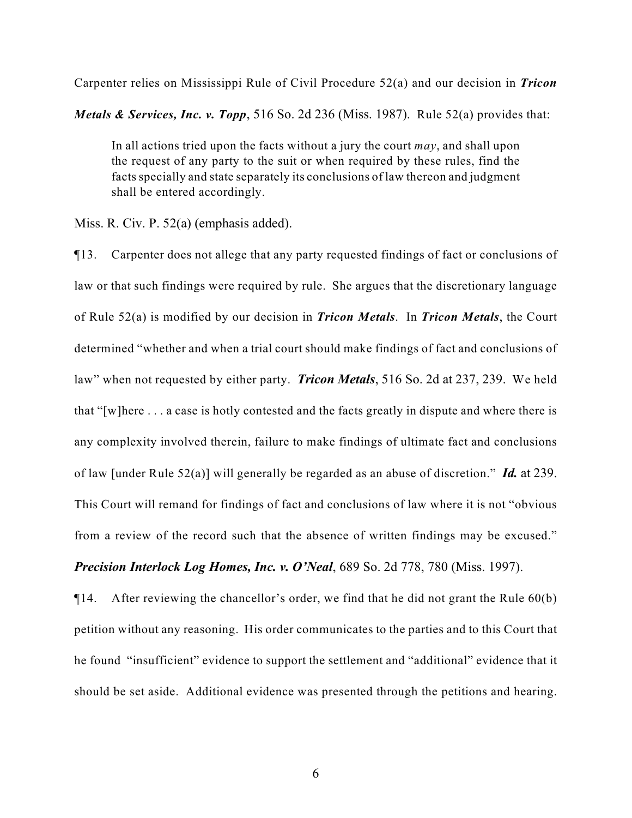Carpenter relies on Mississippi Rule of Civil Procedure 52(a) and our decision in *Tricon*

*Metals & Services, Inc. v. Topp*, 516 So. 2d 236 (Miss. 1987). Rule 52(a) provides that:

In all actions tried upon the facts without a jury the court *may*, and shall upon the request of any party to the suit or when required by these rules, find the facts specially and state separately its conclusions of law thereon and judgment shall be entered accordingly.

Miss. R. Civ. P. 52(a) (emphasis added).

¶13. Carpenter does not allege that any party requested findings of fact or conclusions of law or that such findings were required by rule. She argues that the discretionary language of Rule 52(a) is modified by our decision in *Tricon Metals*. In *Tricon Metals*, the Court determined "whether and when a trial court should make findings of fact and conclusions of law" when not requested by either party. *Tricon Metals*, 516 So. 2d at 237, 239. We held that "[w]here . . . a case is hotly contested and the facts greatly in dispute and where there is any complexity involved therein, failure to make findings of ultimate fact and conclusions of law [under Rule 52(a)] will generally be regarded as an abuse of discretion." *Id.* at 239. This Court will remand for findings of fact and conclusions of law where it is not "obvious from a review of the record such that the absence of written findings may be excused." *Precision Interlock Log Homes, Inc. v. O'Neal*, 689 So. 2d 778, 780 (Miss. 1997).

¶14. After reviewing the chancellor's order, we find that he did not grant the Rule 60(b) petition without any reasoning. His order communicates to the parties and to this Court that he found "insufficient" evidence to support the settlement and "additional" evidence that it should be set aside. Additional evidence was presented through the petitions and hearing.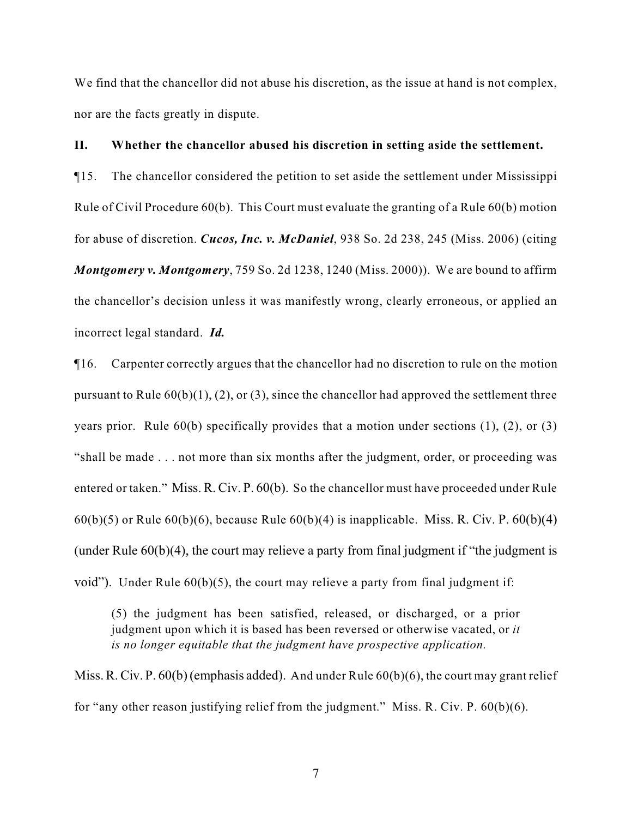We find that the chancellor did not abuse his discretion, as the issue at hand is not complex, nor are the facts greatly in dispute.

#### **II. Whether the chancellor abused his discretion in setting aside the settlement.**

¶15. The chancellor considered the petition to set aside the settlement under Mississippi Rule of Civil Procedure 60(b). This Court must evaluate the granting of a Rule 60(b) motion for abuse of discretion. *Cucos, Inc. v. McDaniel*, 938 So. 2d 238, 245 (Miss. 2006) (citing *Montgomery v. Montgomery*, 759 So. 2d 1238, 1240 (Miss. 2000)). We are bound to affirm the chancellor's decision unless it was manifestly wrong, clearly erroneous, or applied an incorrect legal standard. *Id.*

¶16. Carpenter correctly argues that the chancellor had no discretion to rule on the motion pursuant to Rule  $60(b)(1)$ , (2), or (3), since the chancellor had approved the settlement three years prior. Rule 60(b) specifically provides that a motion under sections (1), (2), or (3) "shall be made . . . not more than six months after the judgment, order, or proceeding was entered or taken." Miss. R. Civ. P. 60(b). So the chancellor must have proceeded under Rule  $60(b)(5)$  or Rule  $60(b)(6)$ , because Rule  $60(b)(4)$  is inapplicable. Miss. R. Civ. P.  $60(b)(4)$ (under Rule 60(b)(4), the court may relieve a party from final judgment if "the judgment is void"). Under Rule  $60(b)(5)$ , the court may relieve a party from final judgment if:

(5) the judgment has been satisfied, released, or discharged, or a prior judgment upon which it is based has been reversed or otherwise vacated, or *it is no longer equitable that the judgment have prospective application.*

Miss. R. Civ. P. 60(b) (emphasis added). And under Rule 60(b)(6), the court may grant relief for "any other reason justifying relief from the judgment." Miss. R. Civ. P. 60(b)(6).

7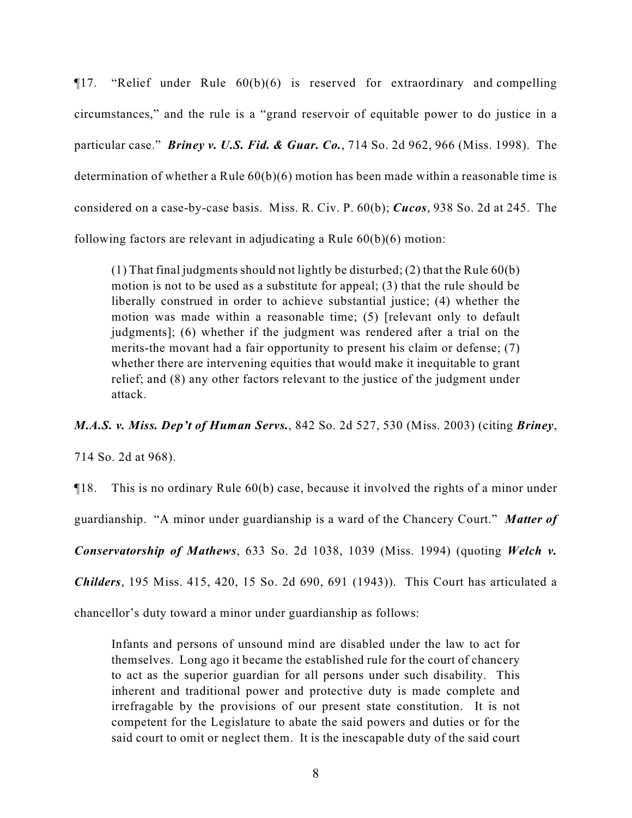¶17. "Relief under Rule 60(b)(6) is reserved for extraordinary and compelling circumstances," and the rule is a "grand reservoir of equitable power to do justice in a particular case." *Briney v. U.S. Fid. & Guar. Co.*, 714 So. 2d 962, 966 (Miss. 1998). The determination of whether a Rule  $60(b)(6)$  motion has been made within a reasonable time is considered on a case-by-case basis. Miss. R. Civ. P. 60(b); *Cucos*, 938 So. 2d at 245. The following factors are relevant in adjudicating a Rule 60(b)(6) motion:

(1) That final judgments should not lightly be disturbed; (2) that the Rule 60(b) motion is not to be used as a substitute for appeal; (3) that the rule should be liberally construed in order to achieve substantial justice; (4) whether the motion was made within a reasonable time; (5) [relevant only to default judgments]; (6) whether if the judgment was rendered after a trial on the merits-the movant had a fair opportunity to present his claim or defense; (7) whether there are intervening equities that would make it inequitable to grant relief; and (8) any other factors relevant to the justice of the judgment under attack.

*M.A.S. v. Miss. Dep't of Human Servs.*, 842 So. 2d 527, 530 (Miss. 2003) (citing *Briney*,

714 So. 2d at 968).

¶18. This is no ordinary Rule 60(b) case, because it involved the rights of a minor under

guardianship. "A minor under guardianship is a ward of the Chancery Court." *Matter of*

*Conservatorship of Mathews*, 633 So. 2d 1038, 1039 (Miss. 1994) (quoting *Welch v.*

*Childers*, 195 Miss. 415, 420, 15 So. 2d 690, 691 (1943)). This Court has articulated a

chancellor's duty toward a minor under guardianship as follows:

Infants and persons of unsound mind are disabled under the law to act for themselves. Long ago it became the established rule for the court of chancery to act as the superior guardian for all persons under such disability. This inherent and traditional power and protective duty is made complete and irrefragable by the provisions of our present state constitution. It is not competent for the Legislature to abate the said powers and duties or for the said court to omit or neglect them. It is the inescapable duty of the said court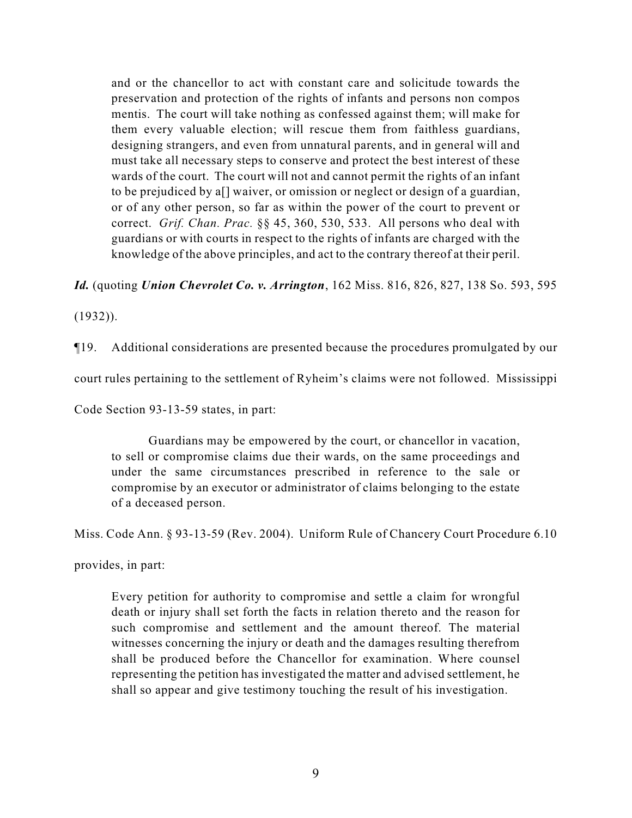and or the chancellor to act with constant care and solicitude towards the preservation and protection of the rights of infants and persons non compos mentis. The court will take nothing as confessed against them; will make for them every valuable election; will rescue them from faithless guardians, designing strangers, and even from unnatural parents, and in general will and must take all necessary steps to conserve and protect the best interest of these wards of the court. The court will not and cannot permit the rights of an infant to be prejudiced by a[] waiver, or omission or neglect or design of a guardian, or of any other person, so far as within the power of the court to prevent or correct. *Grif. Chan. Prac.* §§ 45, 360, 530, 533. All persons who deal with guardians or with courts in respect to the rights of infants are charged with the knowledge of the above principles, and act to the contrary thereof at their peril.

*Id.* (quoting *Union Chevrolet Co. v. Arrington*, 162 Miss. 816, 826, 827, 138 So. 593, 595

(1932)).

¶19. Additional considerations are presented because the procedures promulgated by our

court rules pertaining to the settlement of Ryheim's claims were not followed. Mississippi

Code Section 93-13-59 states, in part:

Guardians may be empowered by the court, or chancellor in vacation, to sell or compromise claims due their wards, on the same proceedings and under the same circumstances prescribed in reference to the sale or compromise by an executor or administrator of claims belonging to the estate of a deceased person.

Miss. Code Ann. § 93-13-59 (Rev. 2004). Uniform Rule of Chancery Court Procedure 6.10

provides, in part:

Every petition for authority to compromise and settle a claim for wrongful death or injury shall set forth the facts in relation thereto and the reason for such compromise and settlement and the amount thereof. The material witnesses concerning the injury or death and the damages resulting therefrom shall be produced before the Chancellor for examination. Where counsel representing the petition has investigated the matter and advised settlement, he shall so appear and give testimony touching the result of his investigation.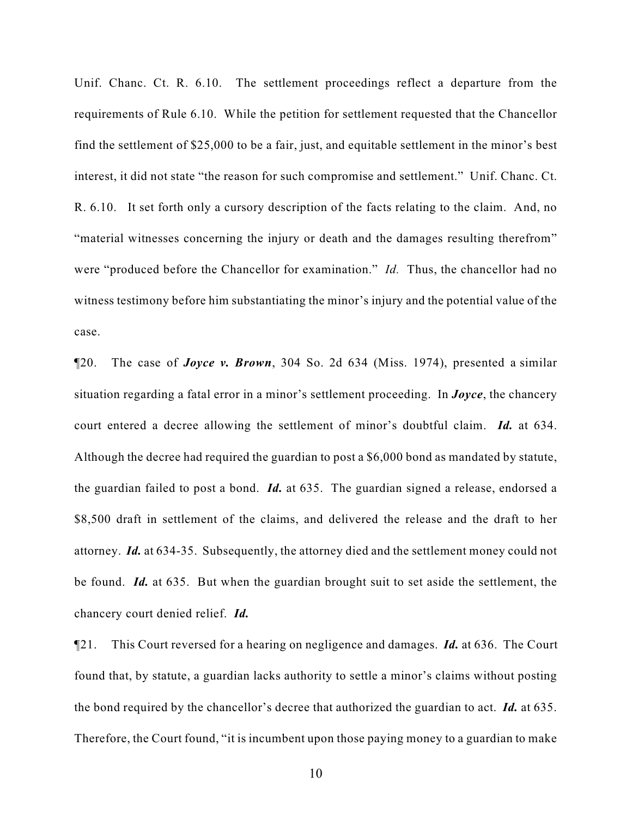Unif. Chanc. Ct. R. 6.10. The settlement proceedings reflect a departure from the requirements of Rule 6.10. While the petition for settlement requested that the Chancellor find the settlement of \$25,000 to be a fair, just, and equitable settlement in the minor's best interest, it did not state "the reason for such compromise and settlement." Unif. Chanc. Ct. R. 6.10. It set forth only a cursory description of the facts relating to the claim. And, no "material witnesses concerning the injury or death and the damages resulting therefrom" were "produced before the Chancellor for examination." *Id.* Thus, the chancellor had no witness testimony before him substantiating the minor's injury and the potential value of the case.

¶20. The case of *Joyce v. Brown*, 304 So. 2d 634 (Miss. 1974), presented a similar situation regarding a fatal error in a minor's settlement proceeding. In *Joyce*, the chancery court entered a decree allowing the settlement of minor's doubtful claim. *Id.* at 634. Although the decree had required the guardian to post a \$6,000 bond as mandated by statute, the guardian failed to post a bond. *Id.* at 635. The guardian signed a release, endorsed a \$8,500 draft in settlement of the claims, and delivered the release and the draft to her attorney. *Id.* at 634-35. Subsequently, the attorney died and the settlement money could not be found. *Id.* at 635. But when the guardian brought suit to set aside the settlement, the chancery court denied relief. *Id.*

¶21. This Court reversed for a hearing on negligence and damages. *Id.* at 636. The Court found that, by statute, a guardian lacks authority to settle a minor's claims without posting the bond required by the chancellor's decree that authorized the guardian to act. *Id.* at 635. Therefore, the Court found, "it is incumbent upon those paying money to a guardian to make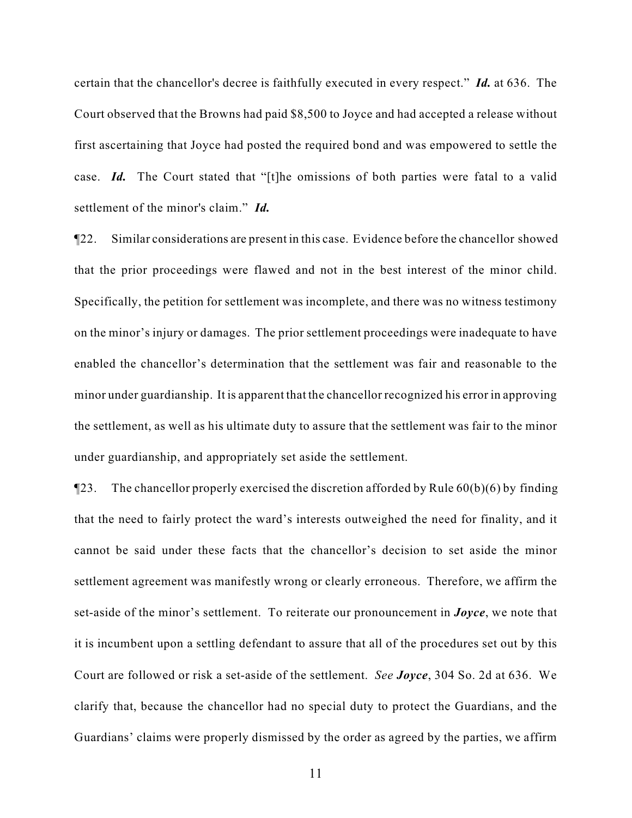certain that the chancellor's decree is faithfully executed in every respect." *Id.* at 636. The Court observed that the Browns had paid \$8,500 to Joyce and had accepted a release without first ascertaining that Joyce had posted the required bond and was empowered to settle the case. *Id.* The Court stated that "[t]he omissions of both parties were fatal to a valid settlement of the minor's claim." *Id.*

¶22. Similar considerations are present in this case. Evidence before the chancellor showed that the prior proceedings were flawed and not in the best interest of the minor child. Specifically, the petition for settlement was incomplete, and there was no witness testimony on the minor's injury or damages. The prior settlement proceedings were inadequate to have enabled the chancellor's determination that the settlement was fair and reasonable to the minor under guardianship. It is apparent that the chancellor recognized his error in approving the settlement, as well as his ultimate duty to assure that the settlement was fair to the minor under guardianship, and appropriately set aside the settlement.

 $\P$ 23. The chancellor properly exercised the discretion afforded by Rule 60(b)(6) by finding that the need to fairly protect the ward's interests outweighed the need for finality, and it cannot be said under these facts that the chancellor's decision to set aside the minor settlement agreement was manifestly wrong or clearly erroneous. Therefore, we affirm the set-aside of the minor's settlement. To reiterate our pronouncement in *Joyce*, we note that it is incumbent upon a settling defendant to assure that all of the procedures set out by this Court are followed or risk a set-aside of the settlement. *See Joyce*, 304 So. 2d at 636. We clarify that, because the chancellor had no special duty to protect the Guardians, and the Guardians' claims were properly dismissed by the order as agreed by the parties, we affirm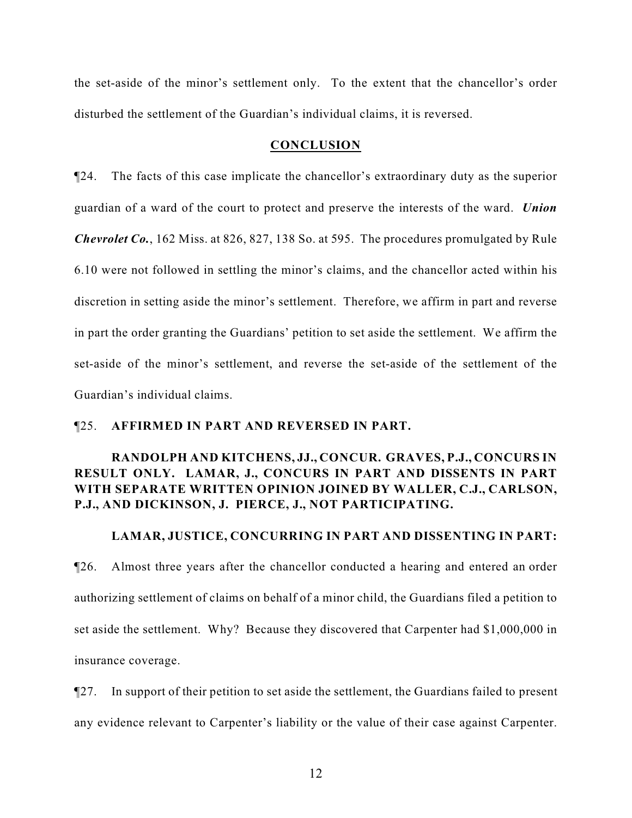the set-aside of the minor's settlement only. To the extent that the chancellor's order disturbed the settlement of the Guardian's individual claims, it is reversed.

#### **CONCLUSION**

¶24. The facts of this case implicate the chancellor's extraordinary duty as the superior guardian of a ward of the court to protect and preserve the interests of the ward. *Union Chevrolet Co.*, 162 Miss. at 826, 827, 138 So. at 595. The procedures promulgated by Rule 6.10 were not followed in settling the minor's claims, and the chancellor acted within his discretion in setting aside the minor's settlement. Therefore, we affirm in part and reverse in part the order granting the Guardians' petition to set aside the settlement. We affirm the set-aside of the minor's settlement, and reverse the set-aside of the settlement of the Guardian's individual claims.

## ¶25. **AFFIRMED IN PART AND REVERSED IN PART.**

# **RANDOLPH AND KITCHENS, JJ., CONCUR. GRAVES, P.J., CONCURS IN RESULT ONLY. LAMAR, J., CONCURS IN PART AND DISSENTS IN PART WITH SEPARATE WRITTEN OPINION JOINED BY WALLER, C.J., CARLSON, P.J., AND DICKINSON, J. PIERCE, J., NOT PARTICIPATING.**

### **LAMAR, JUSTICE, CONCURRING IN PART AND DISSENTING IN PART:**

¶26. Almost three years after the chancellor conducted a hearing and entered an order authorizing settlement of claims on behalf of a minor child, the Guardians filed a petition to set aside the settlement. Why? Because they discovered that Carpenter had \$1,000,000 in insurance coverage.

¶27. In support of their petition to set aside the settlement, the Guardians failed to present any evidence relevant to Carpenter's liability or the value of their case against Carpenter.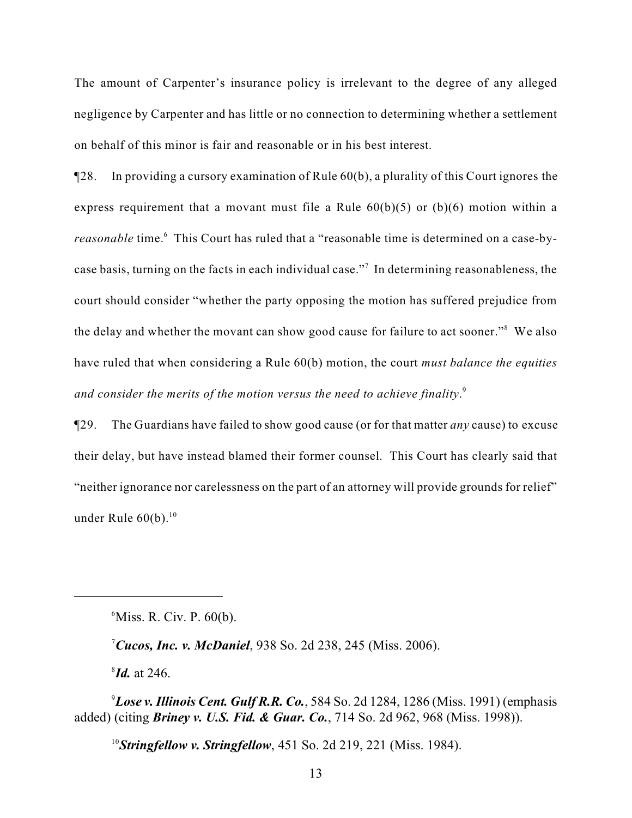The amount of Carpenter's insurance policy is irrelevant to the degree of any alleged negligence by Carpenter and has little or no connection to determining whether a settlement on behalf of this minor is fair and reasonable or in his best interest.

¶28. In providing a cursory examination of Rule 60(b), a plurality of this Court ignores the express requirement that a movant must file a Rule  $60(b)(5)$  or  $(b)(6)$  motion within a *reasonable* time.<sup>6</sup> This Court has ruled that a "reasonable time is determined on a case-bycase basis, turning on the facts in each individual case."<sup>7</sup> In determining reasonableness, the court should consider "whether the party opposing the motion has suffered prejudice from the delay and whether the movant can show good cause for failure to act sooner."<sup>8</sup> We also have ruled that when considering a Rule 60(b) motion, the court *must balance the equities and consider the merits of the motion versus the need to achieve finality*. 9

¶29. The Guardians have failed to show good cause (or for that matter *any* cause) to excuse their delay, but have instead blamed their former counsel. This Court has clearly said that "neither ignorance nor carelessness on the part of an attorney will provide grounds for relief" under Rule  $60(b)$ .<sup>10</sup>

<sup>6</sup>Miss. R. Civ. P. 60(b).

*Cucos, Inc. v. McDaniel*, 938 So. 2d 238, 245 (Miss. 2006). <sup>7</sup>

 $^{8}$ *Id.* at 246.

 ${}^{9}$ *Lose v. Illinois Cent. Gulf R.R. Co.*, 584 So. 2d 1284, 1286 (Miss. 1991) (emphasis added) (citing *Briney v. U.S. Fid. & Guar. Co.*, 714 So. 2d 962, 968 (Miss. 1998)).

<sup>10</sup>**Stringfellow v. Stringfellow**, 451 So. 2d 219, 221 (Miss. 1984).